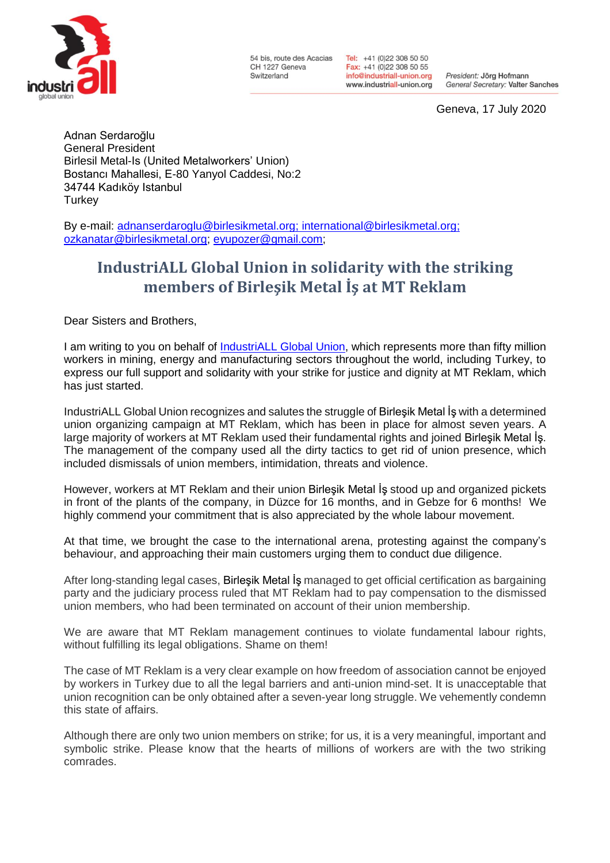

54 bis, route des Acacias CH 1227 Geneva Switzerland

Tel: +41 (0)22 308 50 50 Fax: +41 (0)22 308 50 55 info@industriall-union.org www.industriall-union.org

President: Jörg Hofmann General Secretary: Valter Sanches

Geneva, 17 July 2020

Adnan Serdaroğlu General President Birlesil Metal-Is (United Metalworkers' Union) Bostancı Mahallesi, E-80 Yanyol Caddesi, No:2 34744 Kadıköy Istanbul **Turkey** 

By e-mail: [adnanserdaroglu@birlesikmetal.org;](mailto:adnanserdaroglu@birlesikmetal.org) [international@birlesikmetal.org;](mailto:international@birlesikmetal.org) [ozkanatar@birlesikmetal.org;](mailto:ozkanatar@birlesikmetal.org) [eyupozer@gmail.com;](mailto:eyupozer@gmail.com)

## **IndustriALL Global Union in solidarity with the striking members of Birleşik Metal İş at MT Reklam**

Dear Sisters and Brothers,

I am writing to you on behalf of [IndustriALL Global Union,](http://www.industriall-union.org/) which represents more than fifty million workers in mining, energy and manufacturing sectors throughout the world, including Turkey, to express our full support and solidarity with your strike for justice and dignity at MT Reklam, which has just started.

IndustriALL Global Union recognizes and salutes the struggle of Birleşik Metal İş with a determined union organizing campaign at MT Reklam, which has been in place for almost seven years. A large majority of workers at MT Reklam used their fundamental rights and joined Birleşik Metal İş. The management of the company used all the dirty tactics to get rid of union presence, which included dismissals of union members, intimidation, threats and violence.

However, workers at MT Reklam and their union Birleşik Metal İş stood up and organized pickets in front of the plants of the company, in Düzce for 16 months, and in Gebze for 6 months! We highly commend your commitment that is also appreciated by the whole labour movement.

At that time, we brought the case to the international arena, protesting against the company's behaviour, and approaching their main customers urging them to conduct due diligence.

After long-standing legal cases, Birleşik Metal İş managed to get official certification as bargaining party and the judiciary process ruled that MT Reklam had to pay compensation to the dismissed union members, who had been terminated on account of their union membership.

We are aware that MT Reklam management continues to violate fundamental labour rights, without fulfilling its legal obligations. Shame on them!

The case of MT Reklam is a very clear example on how freedom of association cannot be enjoyed by workers in Turkey due to all the legal barriers and anti-union mind-set. It is unacceptable that union recognition can be only obtained after a seven-year long struggle. We vehemently condemn this state of affairs.

Although there are only two union members on strike; for us, it is a very meaningful, important and symbolic strike. Please know that the hearts of millions of workers are with the two striking comrades.